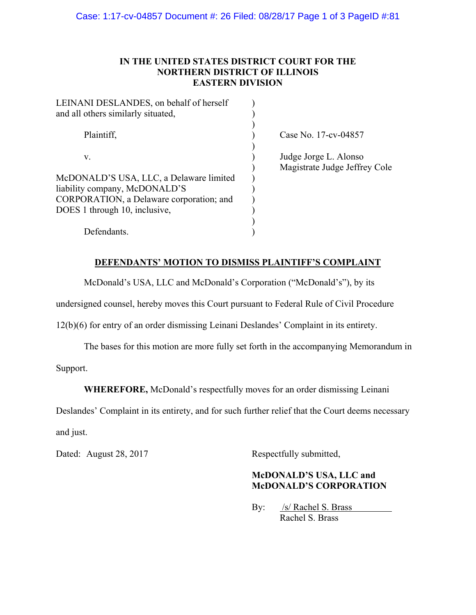#### **IN THE UNITED STATES DISTRICT COURT FOR THE NORTHERN DISTRICT OF ILLINOIS EASTERN DIVISION**

| LEINANI DESLANDES, on behalf of herself<br>and all others similarly situated, |                                                        |
|-------------------------------------------------------------------------------|--------------------------------------------------------|
| Plaintiff,                                                                    | Case No. 17-cv-04857                                   |
| V.                                                                            | Judge Jorge L. Alonso<br>Magistrate Judge Jeffrey Cole |
| McDONALD'S USA, LLC, a Delaware limited                                       |                                                        |
| liability company, McDONALD'S                                                 |                                                        |
| CORPORATION, a Delaware corporation; and                                      |                                                        |
| DOES 1 through 10, inclusive,                                                 |                                                        |
|                                                                               |                                                        |
| Defendants.                                                                   |                                                        |

# **DEFENDANTS' MOTION TO DISMISS PLAINTIFF'S COMPLAINT**

McDonald's USA, LLC and McDonald's Corporation ("McDonald's"), by its

undersigned counsel, hereby moves this Court pursuant to Federal Rule of Civil Procedure

12(b)(6) for entry of an order dismissing Leinani Deslandes' Complaint in its entirety.

The bases for this motion are more fully set forth in the accompanying Memorandum in

Support.

**WHEREFORE,** McDonald's respectfully moves for an order dismissing Leinani

Deslandes' Complaint in its entirety, and for such further relief that the Court deems necessary and just.

Dated: August 28, 2017 Respectfully submitted,

# **McDONALD'S USA, LLC and McDONALD'S CORPORATION**

By: /s/ Rachel S. Brass Rachel S. Brass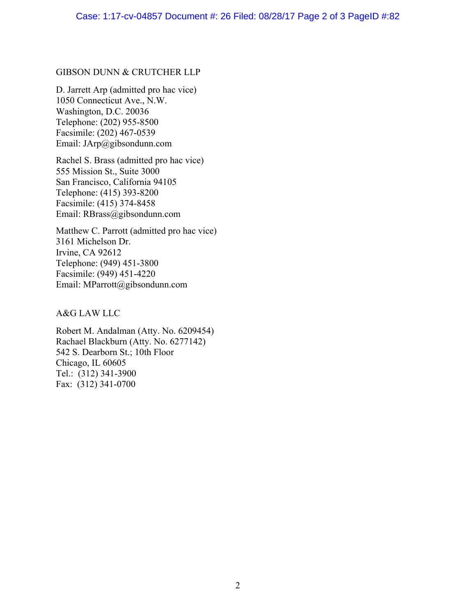#### GIBSON DUNN & CRUTCHER LLP

D. Jarrett Arp (admitted pro hac vice) 1050 Connecticut Ave., N.W. Washington, D.C. 20036 Telephone: (202) 955-8500 Facsimile: (202) 467-0539 Email: JArp@gibsondunn.com

Rachel S. Brass (admitted pro hac vice) 555 Mission St., Suite 3000 San Francisco, California 94105 Telephone: (415) 393-8200 Facsimile: (415) 374-8458 Email: RBrass@gibsondunn.com

Matthew C. Parrott (admitted pro hac vice) 3161 Michelson Dr. Irvine, CA 92612 Telephone: (949) 451-3800 Facsimile: (949) 451-4220 Email: MParrott@gibsondunn.com

A&G LAW LLC

Robert M. Andalman (Atty. No. 6209454) Rachael Blackburn (Atty. No. 6277142) 542 S. Dearborn St.; 10th Floor Chicago, IL 60605 Tel.: (312) 341-3900 Fax: (312) 341-0700